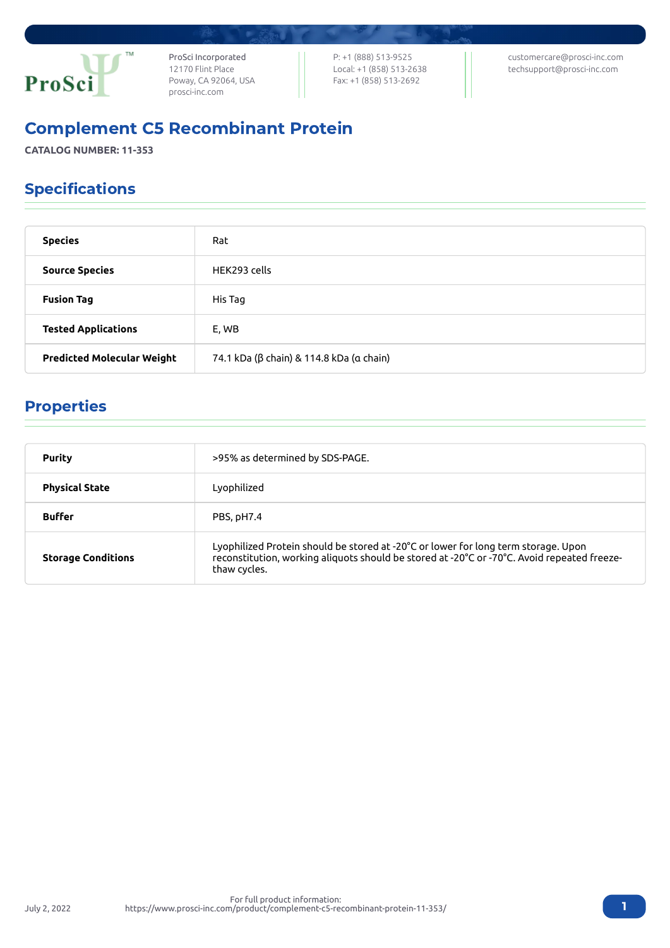

ProSci Incorporated 12170 Flint Place Poway, CA 92064, USA [prosci-inc.com](https://prosci-inc.com/)

P: +1 (888) 513-9525 Local: +1 (858) 513-2638 Fax: +1 (858) 513-2692

[customercare@prosci-inc.com](mailto:customercare@prosci-inc.com) [techsupport@prosci-inc.com](mailto:techsupport@prosci-inc.com)

# Complement C5 Recombinant Protein

**CATALOG NUMBER: 11-353**

## Specifications

| <b>Species</b>                    | Rat                                      |
|-----------------------------------|------------------------------------------|
| <b>Source Species</b>             | HEK293 cells                             |
| <b>Fusion Tag</b>                 | His Tag                                  |
| <b>Tested Applications</b>        | E, WB                                    |
| <b>Predicted Molecular Weight</b> | 74.1 kDa (β chain) & 114.8 kDa (α chain) |

### Properties

| Purity                    | >95% as determined by SDS-PAGE.                                                                                                                                                                   |
|---------------------------|---------------------------------------------------------------------------------------------------------------------------------------------------------------------------------------------------|
| <b>Physical State</b>     | Lyophilized                                                                                                                                                                                       |
| <b>Buffer</b>             | PBS, pH7.4                                                                                                                                                                                        |
| <b>Storage Conditions</b> | Lyophilized Protein should be stored at -20°C or lower for long term storage. Upon<br>reconstitution, working aliquots should be stored at -20°C or -70°C. Avoid repeated freeze-<br>thaw cycles. |